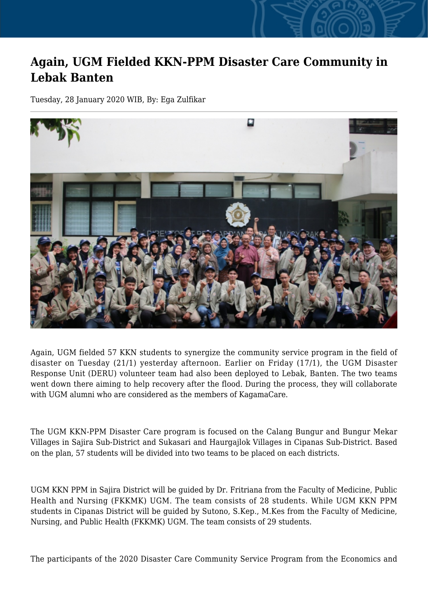## **Again, UGM Fielded KKN-PPM Disaster Care Community in Lebak Banten**

Tuesday, 28 January 2020 WIB, By: Ega Zulfikar



Again, UGM fielded 57 KKN students to synergize the community service program in the field of disaster on Tuesday (21/1) yesterday afternoon. Earlier on Friday (17/1), the UGM Disaster Response Unit (DERU) volunteer team had also been deployed to Lebak, Banten. The two teams went down there aiming to help recovery after the flood. During the process, they will collaborate with UGM alumni who are considered as the members of KagamaCare.

The UGM KKN-PPM Disaster Care program is focused on the Calang Bungur and Bungur Mekar Villages in Sajira Sub-District and Sukasari and Haurgajlok Villages in Cipanas Sub-District. Based on the plan, 57 students will be divided into two teams to be placed on each districts.

UGM KKN PPM in Sajira District will be guided by Dr. Fritriana from the Faculty of Medicine, Public Health and Nursing (FKKMK) UGM. The team consists of 28 students. While UGM KKN PPM students in Cipanas District will be guided by Sutono, S.Kep., M.Kes from the Faculty of Medicine, Nursing, and Public Health (FKKMK) UGM. The team consists of 29 students.

The participants of the 2020 Disaster Care Community Service Program from the Economics and